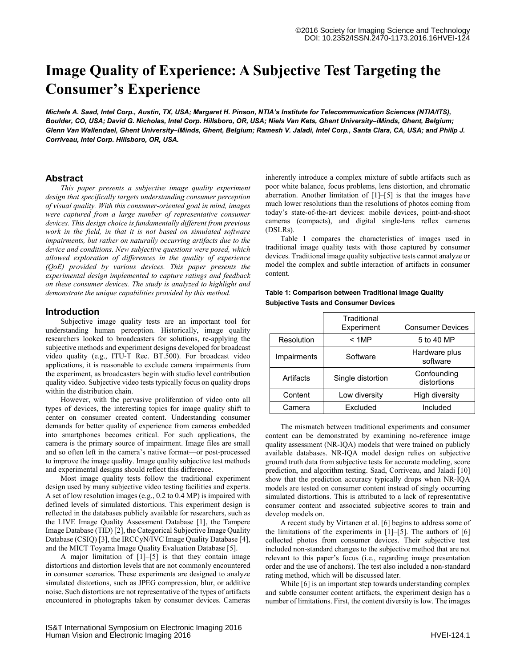# Image Quality of Experience: A Subjective Test Targeting the Consumer's Experience

*Michele A. Saad, Intel Corp., Austin, TX, USA; Margaret H. Pinson, NTIA's Institute for Telecommunication Sciences (NTIA/ITS), Boulder, CO, USA; David G. Nicholas, Intel Corp. Hillsboro, OR, USA; Niels Van Kets, Ghent University–iMinds, Ghent, Belgium; Glenn Van Wallendael, Ghent University–iMinds, Ghent, Belgium; Ramesh V. Jaladi, Intel Corp., Santa Clara, CA, USA; and Philip J. Corriveau, Intel Corp. Hillsboro, OR, USA.* 

# Abstract

*This paper presents a subjective image quality experiment design that specifically targets understanding consumer perception of visual quality. With this consumer-oriented goal in mind, images were captured from a large number of representative consumer devices. This design choice is fundamentally different from previous work in the field, in that it is not based on simulated software impairments, but rather on naturally occurring artifacts due to the device and conditions. New subjective questions were posed, which allowed exploration of differences in the quality of experience (QoE) provided by various devices. This paper presents the experimental design implemented to capture ratings and feedback on these consumer devices. The study is analyzed to highlight and demonstrate the unique capabilities provided by this method.*

# <span id="page-0-0"></span>Introduction

Subjective image quality tests are an important tool for understanding human perception. Historically, image quality researchers looked to broadcasters for solutions, re-applying the subjective methods and experiment designs developed for broadcast video quality (e.g., ITU-T Rec. BT.500). For broadcast video applications, it is reasonable to exclude camera impairments from the experiment, as broadcasters begin with studio level contribution quality video. Subjective video tests typically focus on quality drops within the distribution chain.

However, with the pervasive proliferation of video onto all types of devices, the interesting topics for image quality shift to center on consumer created content. Understanding consumer demands for better quality of experience from cameras embedded into smartphones becomes critical. For such applications, the camera is the primary source of impairment. Image files are small and so often left in the camera's native format—or post-processed to improve the image quality. Image quality subjective test methods and experimental designs should reflect this difference.

Most image quality tests follow the traditional experiment design used by many subjective video testing facilities and experts. A set of low resolution images (e.g., 0.2 to 0.4 MP) is impaired with defined levels of simulated distortions. This experiment design is reflected in the databases publicly available for researchers, such as the LIVE Image Quality Assessment Database [\[1\],](#page-5-0) the Tampere Image Database (TID) [\[2\],](#page-5-1) the Categorical Subjective Image Quality Database (CSIQ) [\[3\],](#page-5-2) the IRCCyN/IVC Image Quality Database [\[4\],](#page-5-3) and the MICT Toyama Image Quality Evaluation Database [\[5\].](#page-5-4)

A major limitation of  $[1]$ – $[5]$  is that they contain image distortions and distortion levels that are not commonly encountered in consumer scenarios. These experiments are designed to analyze simulated distortions, such as JPEG compression, blur, or additive noise. Such distortions are not representative of the types of artifacts encountered in photographs taken by consumer devices. Cameras inherently introduce a complex mixture of subtle artifacts such as poor white balance, focus problems, lens distortion, and chromatic aberration. Another limitation of [\[1\]–](#page-5-0)[\[5\]](#page-5-4) is that the images have much lower resolutions than the resolutions of photos coming from today's state-of-the-art devices: mobile devices, point-and-shoot cameras (compacts), and digital single-lens reflex cameras (DSLRs).

[Table 1](#page-0-0) compares the characteristics of images used in traditional image quality tests with those captured by consumer devices. Traditional image quality subjective tests cannot analyze or model the complex and subtle interaction of artifacts in consumer content.

|             | Traditional<br>Experiment | <b>Consumer Devices</b>    |
|-------------|---------------------------|----------------------------|
| Resolution  | < 1MP                     | 5 to 40 MP                 |
| Impairments | Software                  | Hardware plus<br>software  |
| Artifacts   | Single distortion         | Confounding<br>distortions |
| Content     | Low diversity             | <b>High diversity</b>      |
| Camera      | Excluded                  | Included                   |

|                                              | Table 1: Comparison between Traditional Image Quality |
|----------------------------------------------|-------------------------------------------------------|
| <b>Subjective Tests and Consumer Devices</b> |                                                       |

The mismatch between traditional experiments and consumer content can be demonstrated by examining no-reference image quality assessment (NR-IQA) models that were trained on publicly available databases. NR-IQA model design relies on subjective ground truth data from subjective tests for accurate modeling, score prediction, and algorithm testing. Saad, Corriveau, and Jaladi [10] show that the prediction accuracy typically drops when NR-IQA models are tested on consumer content instead of singly occurring simulated distortions. This is attributed to a lack of representative consumer content and associated subjective scores to train and develop models on.

A recent study by Virtanen et al. [\[6\]](#page-5-5) begins to address some of the limitations of the experiments in [\[1\]–](#page-5-0)[\[5\].](#page-5-4) The authors of [\[6\]](#page-5-5) collected photos from consumer devices. Their subjective test included non-standard changes to the subjective method that are not relevant to this paper's focus (i.e., regarding image presentation order and the use of anchors). The test also included a non-standard rating method, which will be discussed later.

While [\[6\]](#page-5-5) is an important step towards understanding complex and subtle consumer content artifacts, the experiment design has a number of limitations. First, the content diversity is low. The images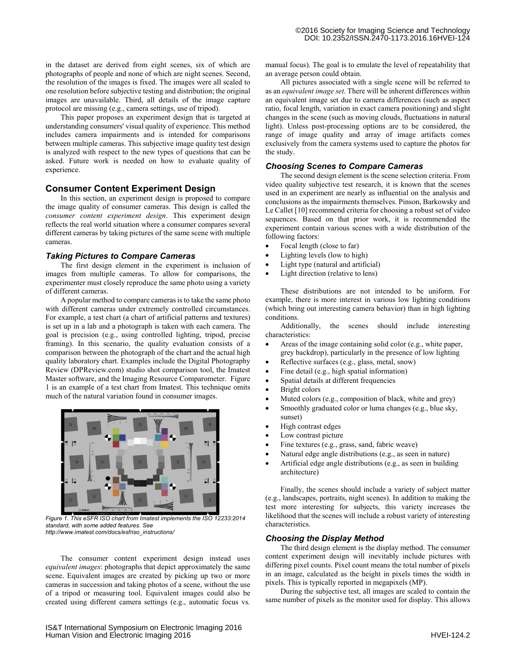in the dataset are derived from eight scenes, six of which are photographs of people and none of which are night scenes. Second, the resolution of the images is fixed. The images were all scaled to one resolution before subjective testing and distribution; the original images are unavailable. Third, all details of the image capture protocol are missing (e.g., camera settings, use of tripod).

This paper proposes an experiment design that is targeted at understanding consumers' visual quality of experience. This method includes camera impairments and is intended for comparisons between multiple cameras. This subjective image quality test design is analyzed with respect to the new types of questions that can be asked. Future work is needed on how to evaluate quality of experience.

## Consumer Content Experiment Design

In this section, an experiment design is proposed to compare the image quality of consumer cameras. This design is called the *consumer content experiment design*. This experiment design reflects the real world situation where a consumer compares several different cameras by taking pictures of the same scene with multiple cameras.

#### *Taking Pictures to Compare Cameras*

The first design element in the experiment is inclusion of images from multiple cameras. To allow for comparisons, the experimenter must closely reproduce the same photo using a variety of different cameras.

A popular method to compare cameras is to take the same photo with different cameras under extremely controlled circumstances. For example, a test chart (a chart of artificial patterns and textures) is set up in a lab and a photograph is taken with each camera. The goal is precision (e.g., using controlled lighting, tripod, precise framing). In this scenario, the quality evaluation consists of a comparison between the photograph of the chart and the actual high quality laboratory chart. Examples include the Digital Photography Review (DPReview.com) studio shot comparison tool, the Imatest Master software, and the Imaging Resource Comparometer. Figure 1 is an example of a test chart from Imatest. This technique omits much of the natural variation found in consumer images.



*Figure 1. This eSFR ISO chart from Imatest implements the ISO 12233:2014 standard, with some added features. See [http://www.imatest.com/docs/esfriso\\_instructions/](http://www.imatest.com/docs/esfriso_inst//ructions/)*

The consumer content experiment design instead uses *equivalent images*: photographs that depict approximately the same scene. Equivalent images are created by picking up two or more cameras in succession and taking photos of a scene, without the use of a tripod or measuring tool. Equivalent images could also be created using different camera settings (e.g., automatic focus vs.

manual focus). The goal is to emulate the level of repeatability that an average person could obtain.

All pictures associated with a single scene will be referred to as an *equivalent image set*. There will be inherent differences within an equivalent image set due to camera differences (such as aspect ratio, focal length, variation in exact camera positioning) and slight changes in the scene (such as moving clouds, fluctuations in natural light). Unless post-processing options are to be considered, the range of image quality and array of image artifacts comes exclusively from the camera systems used to capture the photos for the study.

## *Choosing Scenes to Compare Cameras*

The second design element is the scene selection criteria. From video quality subjective test research, it is known that the scenes used in an experiment are nearly as influential on the analysis and conclusions as the impairments themselves. Pinson, Barkowsky and Le Callet [\[10\]](#page-5-6) recommend criteria for choosing a robust set of video sequences. Based on that prior work, it is recommended the experiment contain various scenes with a wide distribution of the following factors:

- Focal length (close to far)
- Lighting levels (low to high)
- Light type (natural and artificial)
- Light direction (relative to lens)

These distributions are not intended to be uniform. For example, there is more interest in various low lighting conditions (which bring out interesting camera behavior) than in high lighting conditions.

Additionally, the scenes should include interesting characteristics:

- Areas of the image containing solid color (e.g., white paper, grey backdrop), particularly in the presence of low lighting
- Reflective surfaces (e.g., glass, metal, snow)
- Fine detail (e.g., high spatial information)
- Spatial details at different frequencies
- Bright colors
- Muted colors (e.g., composition of black, white and grey)
- Smoothly graduated color or luma changes (e.g., blue sky, sunset)
- High contrast edges
- Low contrast picture
- Fine textures (e.g., grass, sand, fabric weave)
- Natural edge angle distributions (e.g., as seen in nature)
- Artificial edge angle distributions (e.g., as seen in building architecture)

Finally, the scenes should include a variety of subject matter (e.g., landscapes, portraits, night scenes). In addition to making the test more interesting for subjects, this variety increases the likelihood that the scenes will include a robust variety of interesting characteristics.

#### *Choosing the Display Method*

The third design element is the display method. The consumer content experiment design will inevitably include pictures with differing pixel counts. Pixel count means the total number of pixels in an image, calculated as the height in pixels times the width in pixels. This is typically reported in megapixels (MP).

During the subjective test, all images are scaled to contain the same number of pixels as the monitor used for display. This allows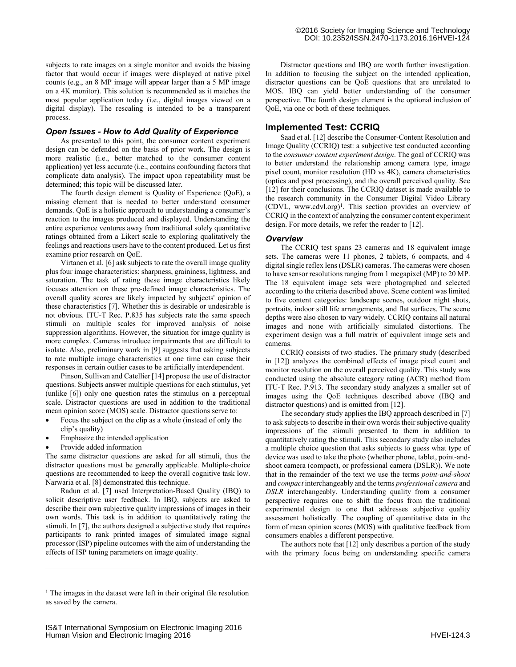subjects to rate images on a single monitor and avoids the biasing factor that would occur if images were displayed at native pixel counts (e.g., an 8 MP image will appear larger than a 5 MP image on a 4K monitor). This solution is recommended as it matches the most popular application today (i.e., digital images viewed on a digital display). The rescaling is intended to be a transparent process.

### *Open Issues - How to Add Quality of Experience*

As presented to this point, the consumer content experiment design can be defended on the basis of prior work. The design is more realistic (i.e., better matched to the consumer content application) yet less accurate (i.e., contains confounding factors that complicate data analysis). The impact upon repeatability must be determined; this topic will be discussed later.

The fourth design element is Quality of Experience (QoE), a missing element that is needed to better understand consumer demands. QoE is a holistic approach to understanding a consumer's reaction to the images produced and displayed. Understanding the entire experience ventures away from traditional solely quantitative ratings obtained from a Likert scale to exploring qualitatively the feelings and reactions users have to the content produced. Let us first examine prior research on QoE.

Virtanen et al. [\[6\]](#page-5-5) ask subjects to rate the overall image quality plus four image characteristics: sharpness, graininess, lightness, and saturation. The task of rating these image characteristics likely focuses attention on these pre-defined image characteristics. The overall quality scores are likely impacted by subjects' opinion of these characteristics [\[7\].](#page-5-7) Whether this is desirable or undesirable is not obvious. ITU-T Rec. P.835 has subjects rate the same speech stimuli on multiple scales for improved analysis of noise suppression algorithms. However, the situation for image quality is more complex. Cameras introduce impairments that are difficult to isolate. Also, preliminary work in [\[9\]](#page-5-8) suggests that asking subjects to rate multiple image characteristics at one time can cause their responses in certain outlier cases to be artificially interdependent.

Pinson, Sullivan and Catellier [\[14\]](#page-5-9) propose the use of distractor questions. Subjects answer multiple questions for each stimulus, yet (unlike [\[6\]\)](#page-5-5) only one question rates the stimulus on a perceptual scale. Distractor questions are used in addition to the traditional mean opinion score (MOS) scale. Distractor questions serve to:

- Focus the subject on the clip as a whole (instead of only the clip's quality)
- Emphasize the intended application
- Provide added information

j

The same distractor questions are asked for all stimuli, thus the distractor questions must be generally applicable. Multiple-choice questions are recommended to keep the overall cognitive task low. Narwaria et al. [\[8\]](#page-5-10) demonstrated this technique.

Radun et al. [\[7\]](#page-5-7) used Interpretation-Based Quality (IBQ) to solicit descriptive user feedback. In IBQ, subjects are asked to describe their own subjective quality impressions of images in their own words. This task is in addition to quantitatively rating the stimuli. In [\[7\],](#page-5-7) the authors designed a subjective study that requires participants to rank printed images of simulated image signal processor (ISP) pipeline outcomes with the aim of understanding the effects of ISP tuning parameters on image quality.

Distractor questions and IBQ are worth further investigation. In addition to focusing the subject on the intended application, distractor questions can be QoE questions that are unrelated to MOS. IBQ can yield better understanding of the consumer perspective. The fourth design element is the optional inclusion of QoE, via one or both of these techniques.

## Implemented Test: CCRIQ

Saad et al. [\[12\]](#page-5-11) describe the Consumer-Content Resolution and Image Quality (CCRIQ) test: a subjective test conducted according to the *consumer content experiment design*. The goal of CCRIQ was to better understand the relationship among camera type, image pixel count, monitor resolution (HD vs 4K), camera characteristics (optics and post processing), and the overall perceived quality. See [\[12\]](#page-5-11) for their conclusions. The CCRIQ dataset is made available to the research community in the Consumer Digital Video Library (CDVL, www.cdvl.org)<sup>1</sup>. This section provides an overview of CCRIQ in the context of analyzing the consumer content experiment design. For more details, we refer the reader to [\[12\].](#page-5-11)

#### *Overview*

The CCRIQ test spans 23 cameras and 18 equivalent image sets. The cameras were 11 phones, 2 tablets, 6 compacts, and 4 digital single reflex lens (DSLR) cameras. The cameras were chosen to have sensor resolutions ranging from 1 megapixel (MP) to 20 MP. The 18 equivalent image sets were photographed and selected according to the criteria described above. Scene content was limited to five content categories: landscape scenes, outdoor night shots, portraits, indoor still life arrangements, and flat surfaces. The scene depths were also chosen to vary widely. CCRIQ contains all natural images and none with artificially simulated distortions. The experiment design was a full matrix of equivalent image sets and cameras.

CCRIQ consists of two studies. The primary study (described in [\[12\]\)](#page-5-11) analyzes the combined effects of image pixel count and monitor resolution on the overall perceived quality. This study was conducted using the absolute category rating (ACR) method from ITU-T Rec. P.913. The secondary study analyzes a smaller set of images using the QoE techniques described above (IBQ and distractor questions) and is omitted from [\[12\].](#page-5-11) 

The secondary study applies the IBQ approach described in [\[7\]](#page-5-7) to ask subjects to describe in their own words their subjective quality impressions of the stimuli presented to them in addition to quantitatively rating the stimuli. This secondary study also includes a multiple choice question that asks subjects to guess what type of device was used to take the photo (whether phone, tablet, point-andshoot camera (compact), or professional camera (DSLR)). We note that in the remainder of the text we use the terms *point-and-shoot* and *compact* interchangeably and the terms *professional camera* and *DSLR* interchangeably. Understanding quality from a consumer perspective requires one to shift the focus from the traditional experimental design to one that addresses subjective quality assessment holistically. The coupling of quantitative data in the form of mean opinion scores (MOS) with qualitative feedback from consumers enables a different perspective.

The authors note that [\[12\]](#page-5-11) only describes a portion of the study with the primary focus being on understanding specific camera

<sup>&</sup>lt;sup>1</sup> The images in the dataset were left in their original file resolution as saved by the camera.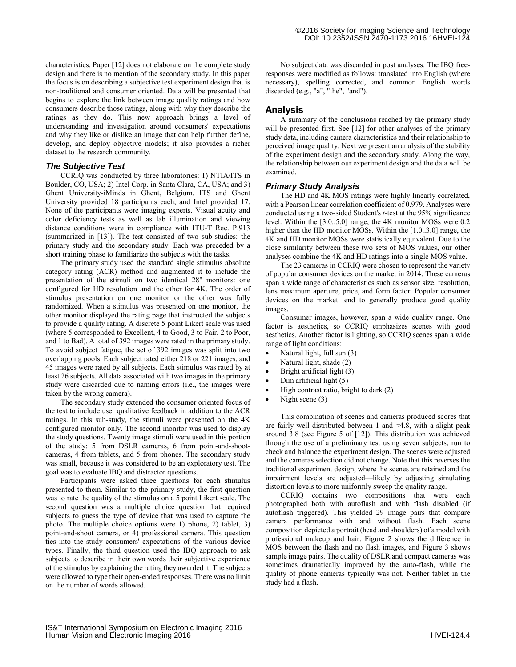characteristics. Paper [\[12\]](#page-5-11) does not elaborate on the complete study design and there is no mention of the secondary study. In this paper the focus is on describing a subjective test experiment design that is non-traditional and consumer oriented. Data will be presented that begins to explore the link between image quality ratings and how consumers describe those ratings, along with why they describe the ratings as they do. This new approach brings a level of understanding and investigation around consumers' expectations and why they like or dislike an image that can help further define, develop, and deploy objective models; it also provides a richer dataset to the research community.

#### *The Subjective Test*

CCRIQ was conducted by three laboratories: 1) NTIA/ITS in Boulder, CO, USA; 2) Intel Corp. in Santa Clara, CA, USA; and 3) Ghent University-iMinds in Ghent, Belgium. ITS and Ghent University provided 18 participants each, and Intel provided 17. None of the participants were imaging experts. Visual acuity and color deficiency tests as well as lab illumination and viewing distance conditions were in compliance with ITU-T Rec. P.913 (summarized in [\[13\]\)](#page-5-12). The test consisted of two sub-studies: the primary study and the secondary study. Each was preceded by a short training phase to familiarize the subjects with the tasks.

The primary study used the standard single stimulus absolute category rating (ACR) method and augmented it to include the presentation of the stimuli on two identical 28" monitors: one configured for HD resolution and the other for 4K. The order of stimulus presentation on one monitor or the other was fully randomized. When a stimulus was presented on one monitor, the other monitor displayed the rating page that instructed the subjects to provide a quality rating. A discrete 5 point Likert scale was used (where 5 corresponded to Excellent, 4 to Good, 3 to Fair, 2 to Poor, and 1 to Bad). A total of 392 images were rated in the primary study. To avoid subject fatigue, the set of 392 images was split into two overlapping pools. Each subject rated either 218 or 221 images, and 45 images were rated by all subjects. Each stimulus was rated by at least 26 subjects. All data associated with two images in the primary study were discarded due to naming errors (i.e., the images were taken by the wrong camera).

The secondary study extended the consumer oriented focus of the test to include user qualitative feedback in addition to the ACR ratings. In this sub-study, the stimuli were presented on the 4K configured monitor only. The second monitor was used to display the study questions. Twenty image stimuli were used in this portion of the study: 5 from DSLR cameras, 6 from point-and-shootcameras, 4 from tablets, and 5 from phones. The secondary study was small, because it was considered to be an exploratory test. The goal was to evaluate IBQ and distractor questions.

Participants were asked three questions for each stimulus presented to them. Similar to the primary study, the first question was to rate the quality of the stimulus on a 5 point Likert scale. The second question was a multiple choice question that required subjects to guess the type of device that was used to capture the photo. The multiple choice options were 1) phone, 2) tablet, 3) point-and-shoot camera, or 4) professional camera. This question ties into the study consumers' expectations of the various device types. Finally, the third question used the IBQ approach to ask subjects to describe in their own words their subjective experience of the stimulus by explaining the rating they awarded it. The subjects were allowed to type their open-ended responses. There was no limit on the number of words allowed.

No subject data was discarded in post analyses. The IBQ freeresponses were modified as follows: translated into English (where necessary), spelling corrected, and common English words discarded (e.g., "a", "the", "and").

## Analysis

A summary of the conclusions reached by the primary study will be presented first. See [\[12\]](#page-5-11) for other analyses of the primary study data, including camera characteristics and their relationship to perceived image quality. Next we present an analysis of the stability of the experiment design and the secondary study. Along the way, the relationship between our experiment design and the data will be examined.

## *Primary Study Analysis*

The HD and 4K MOS ratings were highly linearly correlated, with a Pearson linear correlation coefficient of 0.979. Analyses were conducted using a two-sided Student's *t*-test at the 95% significance level. Within the [3.0..5.0] range, the 4K monitor MOSs were 0.2 higher than the HD monitor MOSs. Within the [1.0..3.0] range, the 4K and HD monitor MOSs were statistically equivalent. Due to the close similarity between these two sets of MOS values, our other analyses combine the 4K and HD ratings into a single MOS value.

The 23 cameras in CCRIQ were chosen to represent the variety of popular consumer devices on the market in 2014. These cameras span a wide range of characteristics such as sensor size, resolution, lens maximum aperture, price, and form factor. Popular consumer devices on the market tend to generally produce good quality images.

Consumer images, however, span a wide quality range. One factor is aesthetics, so CCRIQ emphasizes scenes with good aesthetics. Another factor is lighting, so CCRIQ scenes span a wide range of light conditions:

- Natural light, full sun (3)
- Natural light, shade (2)
- Bright artificial light (3)
- Dim artificial light (5)
- High contrast ratio, bright to dark (2)
- Night scene (3)

This combination of scenes and cameras produced scores that are fairly well distributed between 1 and ≈4.8, with a slight peak around 3.8 (see Figure 5 of [\[12\]\)](#page-5-11). This distribution was achieved through the use of a preliminary test using seven subjects, run to check and balance the experiment design. The scenes were adjusted and the cameras selection did not change. Note that this reverses the traditional experiment design, where the scenes are retained and the impairment levels are adjusted—likely by adjusting simulating distortion levels to more uniformly sweep the quality range.

CCRIQ contains two compositions that were each photographed both with autoflash and with flash disabled (if autoflash triggered). This yielded 29 image pairs that compare camera performance with and without flash. Each scene composition depicted a portrait (head and shoulders) of a model with professional makeup and hair. [Figure 2](#page-4-0) shows the difference in MOS between the flash and no flash images, and [Figure 3](#page-4-1) shows sample image pairs. The quality of DSLR and compact cameras was sometimes dramatically improved by the auto-flash, while the quality of phone cameras typically was not. Neither tablet in the study had a flash.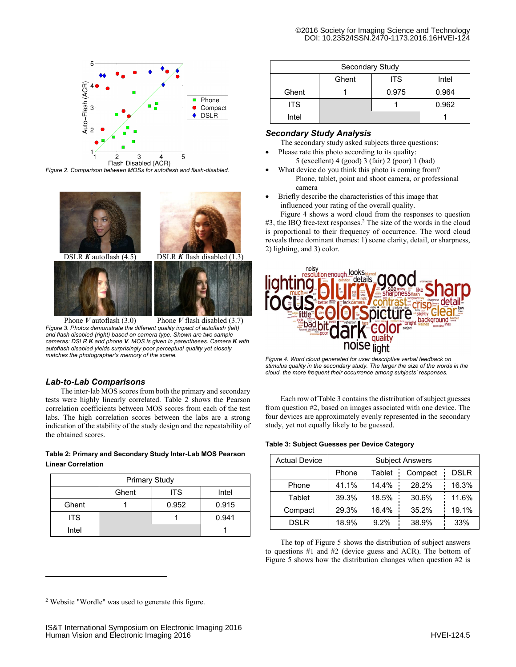

<span id="page-4-0"></span>*Figure 2. Comparison between MOSs for autoflash and flash-disabled.*



Phone *V* autoflash (3.0) Phone *V* flash disabled (3.7) *Figure 3. Photos demonstrate the different quality impact of autoflash (left) and flash disabled (right) based on camera type. Shown are two sample cameras: DSLR K and phone V. MOS is given in parentheses. Camera K with autoflash disabled yields surprisingly poor perceptual quality yet closely matches the photographer's memory of the scene.*

## <span id="page-4-3"></span><span id="page-4-1"></span>*Lab-to-Lab Comparisons*

The inter-lab MOS scores from both the primary and secondary tests were highly linearly correlated. [Table 2](#page-4-2) shows the Pearson correlation coefficients between MOS scores from each of the test labs. The high correlation scores between the labs are a strong indication of the stability of the study design and the repeatability of the obtained scores.

## <span id="page-4-4"></span><span id="page-4-2"></span>Table 2: Primary and Secondary Study Inter-Lab MOS Pearson Linear Correlation

| <b>Primary Study</b> |       |            |       |  |
|----------------------|-------|------------|-------|--|
|                      | Ghent | <b>ITS</b> | Intel |  |
| Ghent                |       | 0.952      | 0.915 |  |
| <b>ITS</b>           |       |            | 0.941 |  |
| Intel                |       |            |       |  |

| Secondary Study |       |            |       |  |
|-----------------|-------|------------|-------|--|
|                 | Ghent | <b>ITS</b> | Intel |  |
| Ghent           |       | 0.975      | 0.964 |  |
| <b>ITS</b>      |       |            | 0.962 |  |
| Intel           |       |            |       |  |

# *Secondary Study Analysis*

The secondary study asked subjects three questions:

- Please rate this photo according to its quality: 5 (excellent) 4 (good) 3 (fair) 2 (poor) 1 (bad)
- What device do you think this photo is coming from?
- Phone, tablet, point and shoot camera, or professional camera
- Briefly describe the characteristics of this image that influenced your rating of the overall quality.

[Figure 4](#page-4-3) shows a word cloud from the responses to question #3, the IBQ free-text responses.<sup>2</sup> The size of the words in the cloud is proportional to their frequency of occurrence. The word cloud reveals three dominant themes: 1) scene clarity, detail, or sharpness, 2) lighting, and 3) color.



*Figure 4. Word cloud generated for user descriptive verbal feedback on stimulus quality in the secondary study. The larger the size of the words in the cloud, the more frequent their occurrence among subjects' responses.*

Each row of [Table 3](#page-4-4) contains the distribution of subject guesses from question #2, based on images associated with one device. The four devices are approximately evenly represented in the secondary study, yet not equally likely to be guessed.

#### Table 3: Subject Guesses per Device Category

| <b>Actual Device</b> | <b>Subject Answers</b> |        |         |             |
|----------------------|------------------------|--------|---------|-------------|
|                      | Phone                  | Tablet | Compact | <b>DSLR</b> |
| Phone                | 41.1%                  | 14.4%  | 28.2%   | 16.3%       |
| Tablet               | 39.3%                  | 18.5%  | 30.6%   | 11.6%       |
| Compact              | 29.3%                  | 16.4%  | 35.2%   | 19.1%       |
| <b>DSLR</b>          | 18.9%                  | 9.2%   | 38.9%   | 33%         |

The top of [Figure 5](#page-5-13) shows the distribution of subject answers to questions #1 and #2 (device guess and ACR). The bottom of [Figure 5](#page-5-13) shows how the distribution changes when question #2 is

 $\overline{a}$ 

<sup>2</sup> Website "Wordle" was used to generate this figure.